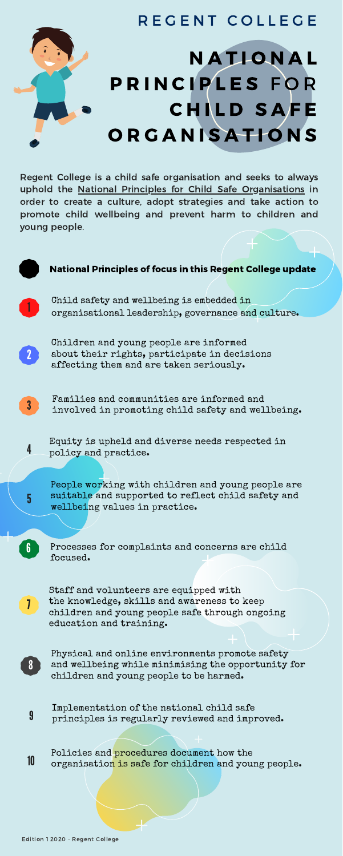wellbeing values in practice.

Staff and volunteers are equipped with the knowledge, skills and awareness to keep children and young people safe through ongoing education and training.

Physical and online environments promote safety and wellbeing while minimising the opportunity for children and young people to be harmed.



Processes for complaints and concerns are child focused.

6

7



Implementation of the national child safe 9 principles is regularly reviewed and improved.

Policies and procedures document how the 10 organisation is safe for children and young people.

## R E G E N T COLLEGE **NATIONAL** P R I N C I P L E S F O R **CHILD SAFE ORGANISATIONS**

Regent College is a child safe organisation and seeks to always uphold the National Principles for Child Safe [Organisations](https://childsafe.humanrights.gov.au/national-principles) in order to create a culture, adopt strategies and take action to promote child wellbeing and prevent harm to children and young people.